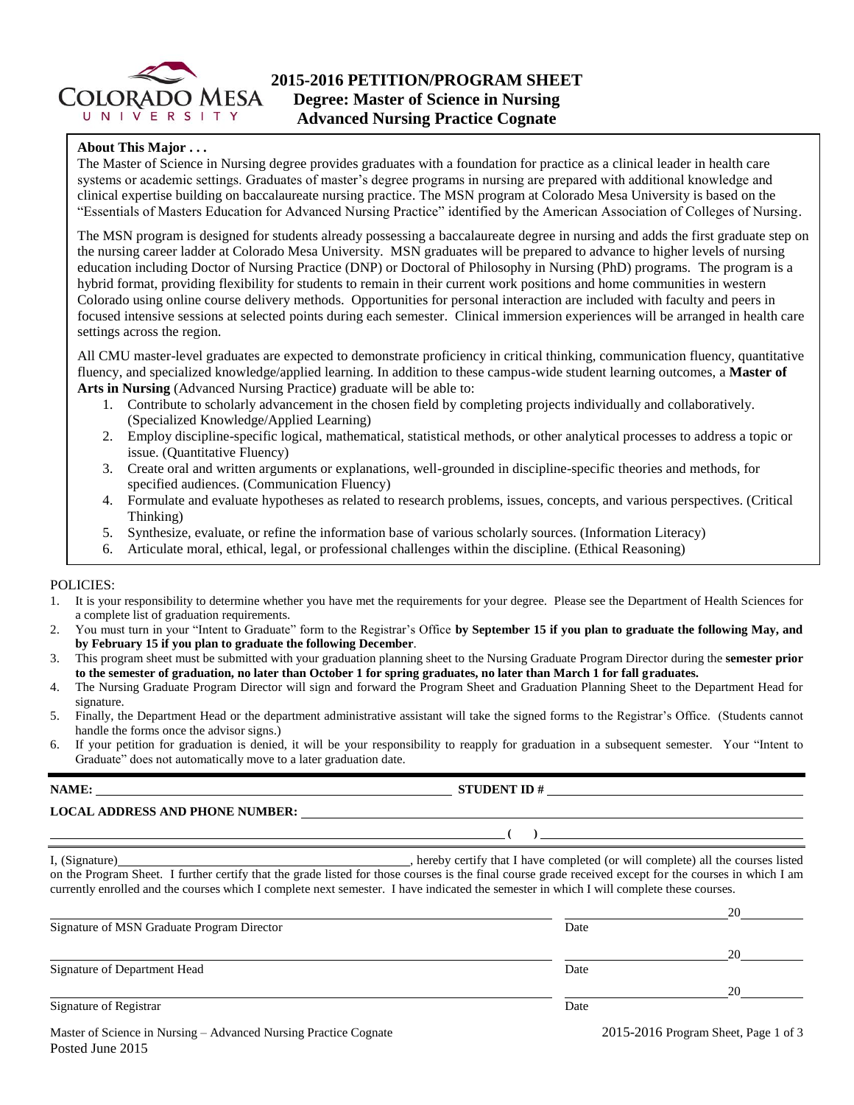

# **2015-2016 PETITION/PROGRAM SHEET Degree: Master of Science in Nursing Advanced Nursing Practice Cognate**

#### **About This Major . . .**

The Master of Science in Nursing degree provides graduates with a foundation for practice as a clinical leader in health care systems or academic settings. Graduates of master's degree programs in nursing are prepared with additional knowledge and clinical expertise building on baccalaureate nursing practice. The MSN program at Colorado Mesa University is based on the "Essentials of Masters Education for Advanced Nursing Practice" identified by the American Association of Colleges of Nursing.

The MSN program is designed for students already possessing a baccalaureate degree in nursing and adds the first graduate step on the nursing career ladder at Colorado Mesa University. MSN graduates will be prepared to advance to higher levels of nursing education including Doctor of Nursing Practice (DNP) or Doctoral of Philosophy in Nursing (PhD) programs. The program is a hybrid format, providing flexibility for students to remain in their current work positions and home communities in western Colorado using online course delivery methods. Opportunities for personal interaction are included with faculty and peers in focused intensive sessions at selected points during each semester. Clinical immersion experiences will be arranged in health care settings across the region.

All CMU master-level graduates are expected to demonstrate proficiency in critical thinking, communication fluency, quantitative fluency, and specialized knowledge/applied learning. In addition to these campus-wide student learning outcomes, a **Master of Arts in Nursing** (Advanced Nursing Practice) graduate will be able to:

- 1. Contribute to scholarly advancement in the chosen field by completing projects individually and collaboratively. (Specialized Knowledge/Applied Learning)
- 2. Employ discipline-specific logical, mathematical, statistical methods, or other analytical processes to address a topic or issue. (Quantitative Fluency)
- 3. Create oral and written arguments or explanations, well-grounded in discipline-specific theories and methods, for specified audiences. (Communication Fluency)
- 4. Formulate and evaluate hypotheses as related to research problems, issues, concepts, and various perspectives. (Critical Thinking)
- 5. Synthesize, evaluate, or refine the information base of various scholarly sources. (Information Literacy)
- 6. Articulate moral, ethical, legal, or professional challenges within the discipline. (Ethical Reasoning)

#### POLICIES:

- 1. It is your responsibility to determine whether you have met the requirements for your degree. Please see the Department of Health Sciences for a complete list of graduation requirements.
- 2. You must turn in your "Intent to Graduate" form to the Registrar's Office **by September 15 if you plan to graduate the following May, and by February 15 if you plan to graduate the following December**.
- 3. This program sheet must be submitted with your graduation planning sheet to the Nursing Graduate Program Director during the **semester prior to the semester of graduation, no later than October 1 for spring graduates, no later than March 1 for fall graduates.**
- 4. The Nursing Graduate Program Director will sign and forward the Program Sheet and Graduation Planning Sheet to the Department Head for signature.
- 5. Finally, the Department Head or the department administrative assistant will take the signed forms to the Registrar's Office. (Students cannot handle the forms once the advisor signs.)
- 6. If your petition for graduation is denied, it will be your responsibility to reapply for graduation in a subsequent semester. Your "Intent to Graduate" does not automatically move to a later graduation date.

#### **NAME: STUDENT ID #**

Posted June 2015

# **LOCAL ADDRESS AND PHONE NUMBER:**

| I, (Signature)                                                                                                                           | , hereby certify that I have completed (or will complete) all the courses listed                                                                        |
|------------------------------------------------------------------------------------------------------------------------------------------|---------------------------------------------------------------------------------------------------------------------------------------------------------|
|                                                                                                                                          | on the Program Sheet. I further certify that the grade listed for those courses is the final course grade received except for the courses in which I am |
| currently enrolled and the courses which I complete next semester. I have indicated the semester in which I will complete these courses. |                                                                                                                                                         |

 $($   $)$ 

|                                                                  |      | 20                                     |
|------------------------------------------------------------------|------|----------------------------------------|
| Signature of MSN Graduate Program Director                       | Date |                                        |
|                                                                  |      | 20                                     |
| Signature of Department Head                                     | Date |                                        |
|                                                                  |      | 20                                     |
| Signature of Registrar                                           | Date |                                        |
| Master of Science in Nursing – Advanced Nursing Practice Cognate |      | $2015-2016$ Program Sheet, Page 1 of 3 |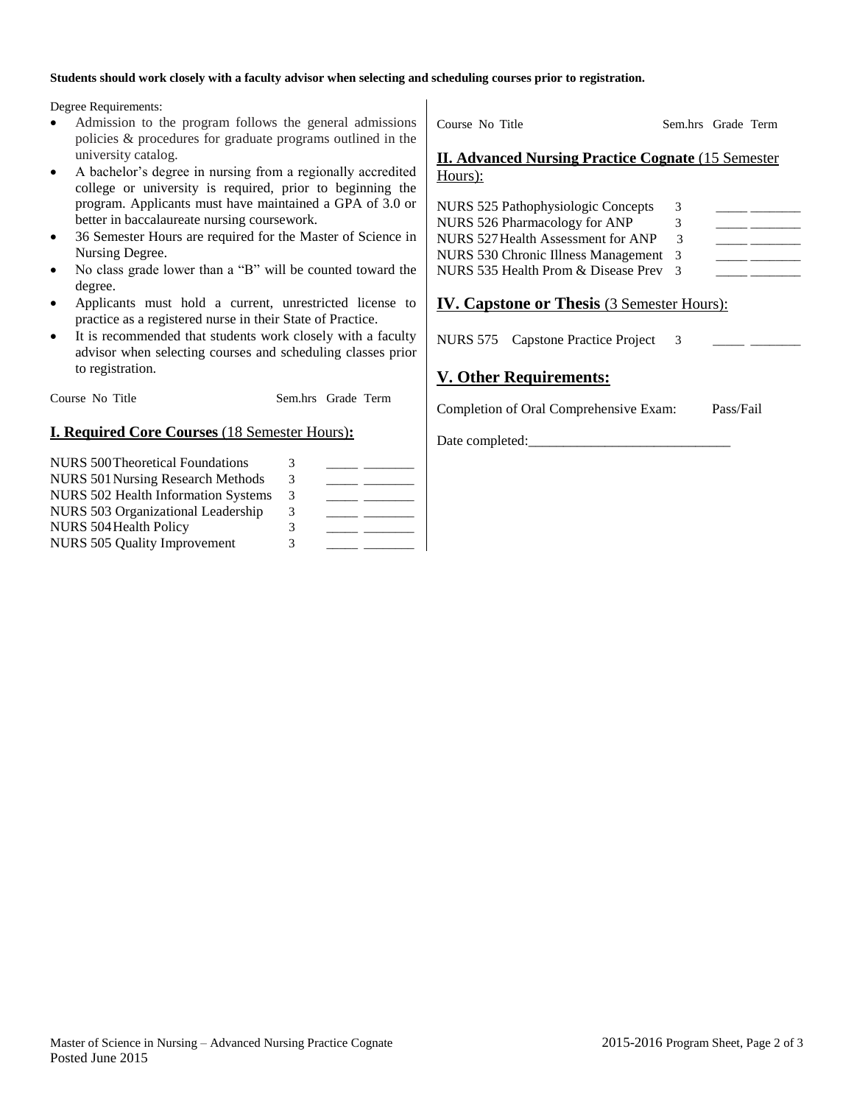#### **Students should work closely with a faculty advisor when selecting and scheduling courses prior to registration.**

Degree Requirements:

- Admission to the program follows the general admissions policies & procedures for graduate programs outlined in the university catalog.
- A bachelor's degree in nursing from a regionally accredited college or university is required, prior to beginning the program. Applicants must have maintained a GPA of 3.0 or better in baccalaureate nursing coursework.
- 36 Semester Hours are required for the Master of Science in Nursing Degree.
- No class grade lower than a "B" will be counted toward the degree.
- Applicants must hold a current, unrestricted license to practice as a registered nurse in their State of Practice.
- It is recommended that students work closely with a faculty advisor when selecting courses and scheduling classes prior to registration.

Course No Title Sem.hrs Grade Term

### **I. Required Core Courses** (18 Semester Hours)**:**

| NURS 500 Theoretical Foundations         | 3 |  |
|------------------------------------------|---|--|
| <b>NURS 501 Nursing Research Methods</b> | 3 |  |
| NURS 502 Health Information Systems      | 3 |  |
| NURS 503 Organizational Leadership       | 3 |  |
| <b>NURS 504 Health Policy</b>            | 3 |  |
| NURS 505 Quality Improvement             | 3 |  |

Course No Title Sem.hrs Grade Term

#### **II. Advanced Nursing Practice Cognate** (15 Semester Hours):

| 3                                     |  |
|---------------------------------------|--|
| 3.                                    |  |
| 3                                     |  |
| NURS 530 Chronic Illness Management 3 |  |
| $\mathcal{R}$                         |  |
|                                       |  |

## **IV. Capstone or Thesis** (3 Semester Hours):

NURS 575 Capstone Practice Project 3

## **V. Other Requirements:**

Completion of Oral Comprehensive Exam: Pass/Fail

Date completed: